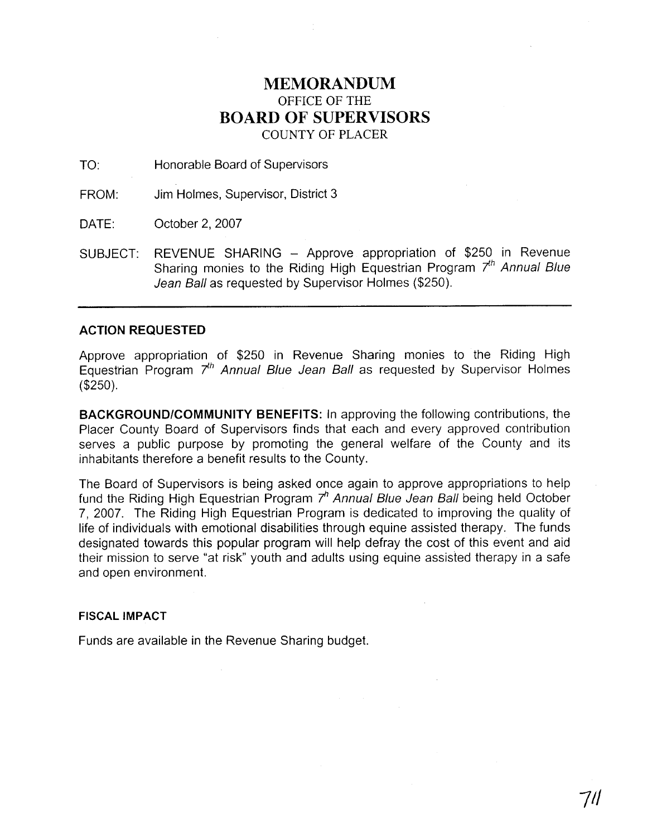# **MEMORANDUM**  OFFICE OF THE **BOARD OF SUPERVISORS**  COUNTY OF PLACER

TO: Honorable Board of Supervisors

FROM: Jim Holmes, Supervisor, District 3

DATE: October 2, 2007

SUBJECT: REVENUE SHARING - Approve appropriation of \$250 in Revenue Sharing monies to the Riding High Equestrian Program  $7<sup>th</sup>$  Annual Blue Jean Ball as requested by Supervisor Holmes (\$250).

## **ACTION REQUESTED**

Approve appropriation of \$250 in Revenue Sharing monies to the Riding High Equestrian Program  $7<sup>th</sup>$  Annual Blue Jean Ball as requested by Supervisor Holmes (\$250).

**BACKGROUNDICOMMUNITY BENEFITS:** In approving the following contributions, the Placer County Board of Supervisors finds that each and every approved contribution serves a public purpose by promoting the general welfare of the County and its inhabitants therefore a benefit results to the County.

The Board of Supervisors is being asked once again to approve appropriations to help fund the Riding High Equestrian Program *7h* Annual Blue Jean Ball being held October 7, 2007. The Riding High Equestrian Program is dedicated to improving the quality of life of individuals with emotional disabilities through equine assisted therapy. The funds designated towards this popular program will help defray the cost of this event and aid their mission to serve "at risk" youth and adults using equine assisted therapy in a safe and open environment.

### **FISCAL IMPACT**

Funds are available in the Revenue Sharing budget.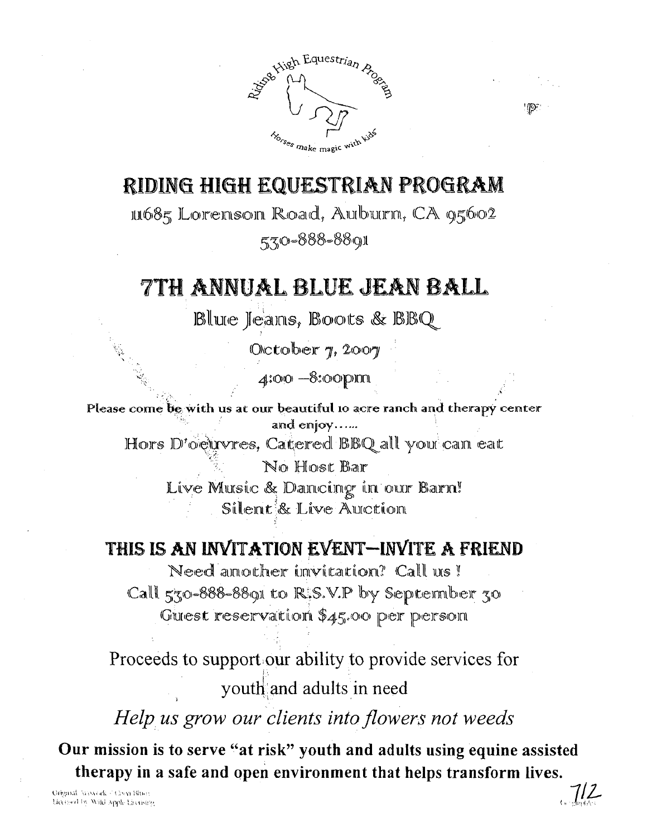

ிற

# RIDING HIGH EQUESTRIAN PROGRAM

11685 Lorenson Road, Auburn, CA 95602

# 530-888-8891

# 7TH ANNUAL BLUE JEAN BALL

Blue Jeans, Boots & BBQ

October  $\eta$ , 2007

 $4:00 - 8:00$  pinn

Please come be with us at our beautiful to acre ranch and therapy center and enjoy.....

Hors D'ocurvres, Catered BBQ all your can eat

No Host Bar Live Music & Dancing in our Barn! Silent & Live Aurction

# THIS IS AN INVITATION EVENT-INVITE A FRIEND

Need amother invitation? Call us! Call  $550-888-88$  gl to R.S.V.P by September  $50$ Guest reservation \$45,00 per person

Proceeds to support our ability to provide services for youth and adults in need

Help us grow our clients into flowers not weeds

Our mission is to serve "at risk" youth and adults using equine assisted therapy in a safe and open environment that helps transform lives.

Origanal Arowork / Cheri Blum Licensed by Wild Apple Licensing  $712$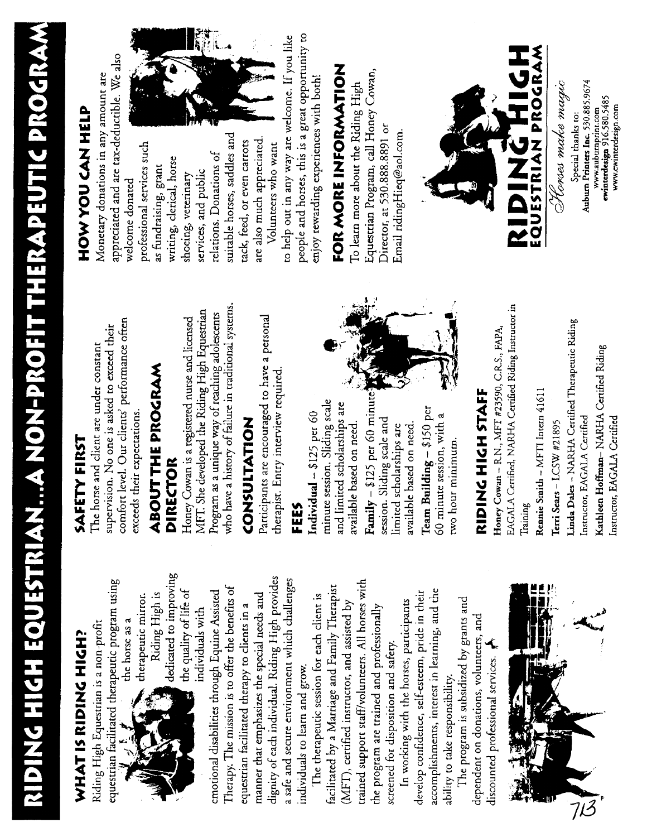# WHAT IS RIGHT **HIGH** Riding High Equestrian is a non-Profit RIDING HIGH EQUESTRIAN...A NON-PROFIT THERAPEUTIC PROGRAM WHAT IS RIDING HIGH THREE SAFETY FIRST THE RESERVE OF THE RESERVE OF THE RESERVE OF THE RESERVE OF THE REPORT OF THE REPORT OF THE PROCESS OF THE PROFESSION SETTIN  $\blacksquare$  we so which is the set of  $\blacksquare$ trained support stafflvolunteers. **All** horses with the program are trained and professionally screened for disposition and safety.



develop confidence, self-esteem, pride in the international confidence, self-esteem, pride in the international  $\mathcal{A}$  interest in learning, interest in learning,  $\mathcal{A}$  is  $\mathcal{A}$  in and the theorem in learning,  $\mathcal{A}$  $T$   $\overline{Q}$   $\overline{z}$  .  $\overline{Q}$   $\overline{z}$  and  $\overline{z}$  and  $\overline{z}$  and  $\overline{z}$  and  $\overline{z}$  and  $\overline{z}$  and  $\overline{z}$  and  $\overline{z}$  and  $\overline{z}$  and  $\overline{z}$  and  $\overline{z}$  and  $\overline{z}$  and  $\overline{z}$  and  $\overline{z}$  and  $\overline{z$  $\blacksquare$   $\blacksquare$   $\blacksquare$  ends and the donations, and the domain  $\forall i$  $\frac{1}{2}$  discounted professional services. The series  $\frac{1}{2}$ 

dignity of each individual. Riding High provides a safe and secure environment which challenges In working with the horses, participants

trained support staff/volunteers. All horses with available based on  $\frac{1}{2}$  based on  $\frac{1}{2}$ **Team**<br> **Team**<br> **Team**<br> **Team**<br> **Team**<br> **Team**<br> **Team**<br> **Team**<br> **Team**<br> **Team**<br> **Team**<br> **Team**<br> **Team**<br> **Team**<br> **Team**<br> **Team**<br> **Team**<br> **Team**<br> **Team**<br> **Team**<br> **Team**<br> **Team**<br> **Team**<br> **Team**<br> **Team**<br> **Team**<br> **Team**<br> **Team**  $\overline{a}$  in  $\overline{b}$  and  $\overline{c}$  in  $\overline{c}$  in  $\overline{c}$  in  $\overline{c}$  in  $\overline{c}$  in  $\overline{c}$  in  $\overline{c}$  in  $\overline{c}$  in  $\overline{c}$  in  $\overline{c}$  in  $\overline{c}$  in  $\overline{c}$  in  $\overline{c}$  in  $\overline{c}$  in  $\overline{c}$  in  $\overline{c}$  in  $\overline$  $f_1 = \overline{a}$   $\overline{a}$   $\overline{b}$   $\overline{c}$   $\overline{c}$   $\overline{c}$   $\overline{c}$   $\overline{c}$   $\overline{c}$   $\overline{c}$   $\overline{c}$   $\overline{c}$   $\overline{c}$   $\overline{c}$   $\overline{c}$   $\overline{c}$   $\overline{c}$   $\overline{c}$   $\overline{c}$   $\overline{c}$   $\overline{c}$   $\overline{c}$   $\overline{c}$   $\overline{c}$  **RIDING HIGH STAFF**   $\frac{H}{2}$ ,  $\frac{H}{2}$ ,  $\frac{H}{2}$ ,  $\frac{H}{2}$ ,  $\frac{H}{2}$ ,  $\frac{H}{2}$ ,  $\frac{H}{2}$ ,  $\frac{H}{2}$ ,  $\frac{H}{2}$ ,  $\frac{H}{2}$ ,  $\frac{H}{2}$ ,  $\frac{H}{2}$ ,  $\frac{H}{2}$ ,  $\frac{H}{2}$ ,  $\frac{H}{2}$ ,  $\frac{H}{2}$ ,  $\frac{H}{2}$ ,  $\frac{H}{2}$ ,  $\frac{H}{2}$ ,  $\frac{H}{2}$ , EAGALA RIDING RIDING RIDING RIDING RIDING RIDING RIDING RIDING RIDING RIDING RIDING RIDING RIDING RIDING RIDING R<br>Tanàna mandritry ny taona 2008–2014 **F**AMPAIRING RIDING RIDING RIDING RIDING RIDING RIDING RIDING RIDING RID eutic<br>Mart<br>d instaff<br>t smith with<br>with ance, s<br>spon **Terrificial**<br> **Territorial**<br> **Territorial**<br> **Territorial**<br> **Territorial**<br> **Territorial**<br> **Territorial**<br> **Territorial**<br> **Territorial** Linda Dales **Cartificate Therapeuric Riding Therapeuric Riding Therapeuric Riding Therapeuric Riding Theories** Instructor, **ElAGALA** Certified **Kathleen Hoflinan-** NARHA Certified Riding individuals to learn and grow.<br>The therapeutic session for each client is<br>facilitated by a Marriage and Family Therapis<br>(MFT), certified instructor, and assisted by<br>trained support staff/volunteers. All horses with<br>the pro



equestrian-ficilitated therapeutic program using  $\frac{d}{dt}$  $t_{\rm rel}$ the horse as  $\sim$  $\frac{1}{2}$  mirror. Therefore,  $\frac{1}{2}$  mirror. The  $\frac{1}{2}$  mirror. The  $\frac{1}{2}$ .ਖ਼ੁੱ &  $\frac{1}{2}$  ਜ਼ਿਆ , प्रमुख ब  $\frac{1}{2}$   $\frac{1}{2}$   $\frac{1}{2}$   $\frac{1}{2}$   $\frac{1}{2}$   $\frac{1}{2}$  $\frac{1}{2}$  in  $\frac{1}{2}$  in  $\frac{1}{2}$  in  $\frac{1}{2}$  in  $\frac{1}{2}$  in  $\frac{1}{2}$  in  $\frac{1}{2}$  in  $\frac{1}{2}$ emotional disabilities through Equitors through Equitors through Equitors through Equine Assisted through Equi  $\blacksquare$  is the mission is the benefits of the benefits of  $\blacksquare$ eden facilitated the second facilitated the second therapy in a second the second therapy in a second term in a  $\blacksquare$ manner that end and special needs  $\blacksquare$  $\blacksquare$ dignity of  $\mathbb{R}$  in  $\blacksquare$  and  $\blacksquare$  and  $\blacksquare$ a safe and secure environment which contains a secure which challenges are set of the secure which challenges The therapeutic session for the therapeutic session for the theorem is the theorem in the theorem is the theorem  $\Box$   $\blacksquare$   $\blacktriangle$   $\uparrow$   $\uparrow$   $\uparrow$   $\uparrow$   $\uparrow$   $\uparrow$   $\uparrow$   $\uparrow$   $\uparrow$   $\uparrow$   $\uparrow$   $\uparrow$   $\uparrow$   $\uparrow$   $\uparrow$   $\uparrow$   $\uparrow$   $\uparrow$   $\uparrow$   $\uparrow$   $\uparrow$   $\uparrow$   $\uparrow$   $\uparrow$   $\uparrow$   $\uparrow$   $\uparrow$   $\uparrow$   $\uparrow$   $\uparrow$   $\uparrow$   $\uparrow$   $\uparrow$   $\uparrow$ 

therapist. Entry interview required

# FEES

**Individual** - \$125 per 60<br>minute session. Sliding scale<br>and limited scholarships are<br>available based on need.

 $\mathfrak{S}$  who have a high-system in the  $\mathbb{R}^n$  system in the  $\mathbb{R}^n$  system in the  $\mathbb{R}^n$ **CONSULTANT**<br> **CONSULTANT**<br> **CONSULTANT**<br> **CONSULTANT**  $P$  $\frac{1}{2}$   $\frac{1}{2}$   $\frac{1}{2}$   $\frac{1}{2}$   $\frac{1}{2}$   $\frac{1}{2}$   $\frac{1}{2}$   $\frac{1}{2}$   $\frac{1}{2}$   $\frac{1}{2}$   $\frac{1}{2}$   $\frac{1}{2}$   $\frac{1}{2}$   $\frac{1}{2}$   $\frac{1}{2}$   $\frac{1}{2}$   $\frac{1}{2}$   $\frac{1}{2}$   $\frac{1}{2}$   $\frac{1}{2}$   $\frac{1}{2}$   $\frac{1}{2}$   $\frac{1}{2}$ **Individual** *B***urier Control Control Control Control Control Control Control Control Control Control Control Control Control Control Control Control Control Control Control Control Control Control Control Control**  $\mathbf{E}$  session. Substitute  $\mathbf{S}$  $\mathbf{d}$  is a read schoolarships  $\mathbf{d}$  is available based on need.



Training

Terri Sears - LCSW #21895

welcome donated  $\overline{a}$ wr<del>iti</del>ng, clerical, horse shoeing, veterinary services, and public relations. Donations of  $\sigma \propto \sigma$  $\mathfrak{B}$  at  $\mathfrak{B}$  $\bar{c}$   $\geq$   $\bar{c}$ nstructor, EAGALA Certified ក៏  $\mathbf{H}$  ក៏ people and horses, this is a great opportunity to  $\vec{e}$  rewards  $\vec{e}$ **FORMORE INFORMATION** 

To learn more about the Riding High

# HOW YOU CAN HELP

Monetary donations in any amount are

suitable horses, saddles and are also much appreciated. tack, feed, or even carrots Volunteers who want



to help out in any way are welcome. If you like

**SAFETY FlWT** 



Konses make magic Auburn Printers Inc. 530.885.9674 Special thanks to:

www.auburnprint.com<br>**ewinterdesign** 916.580.5485 www.ewinterdesign.com